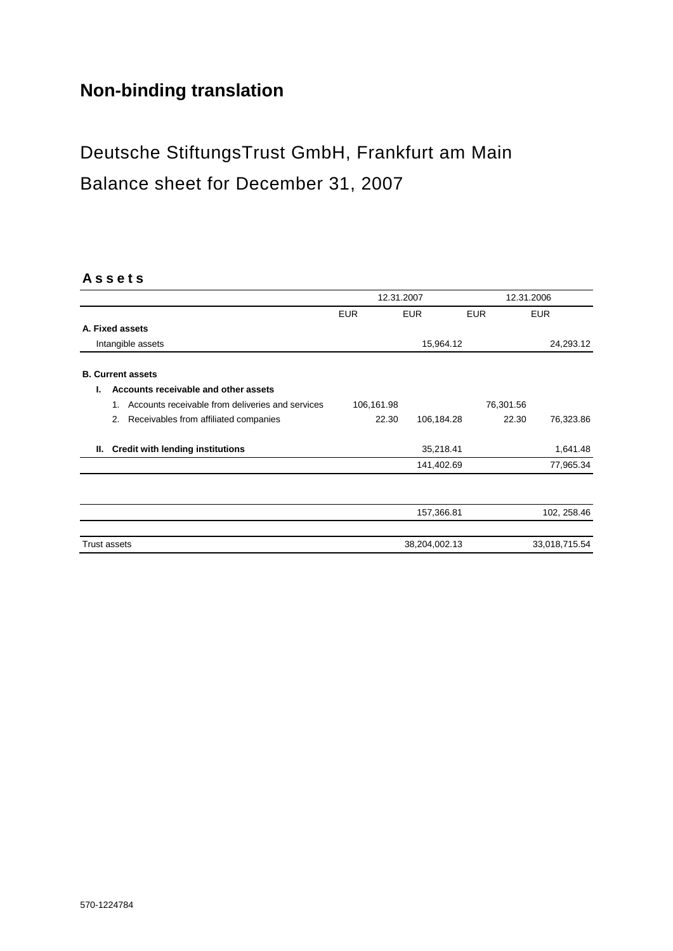## **Non-binding translation**

# Deutsche StiftungsTrust GmbH, Frankfurt am Main Balance sheet for December 31, 2007

#### **A s s e t s**

|    |                                                        |            | 12.31.2007    |            | 12.31.2006    |
|----|--------------------------------------------------------|------------|---------------|------------|---------------|
|    |                                                        | <b>EUR</b> | <b>EUR</b>    | <b>EUR</b> | <b>EUR</b>    |
|    | A. Fixed assets                                        |            |               |            |               |
|    | Intangible assets                                      |            | 15,964.12     |            | 24,293.12     |
|    | <b>B. Current assets</b>                               |            |               |            |               |
| L. | Accounts receivable and other assets                   |            |               |            |               |
|    | Accounts receivable from deliveries and services<br>1. | 106,161.98 |               | 76,301.56  |               |
|    | Receivables from affiliated companies<br>2.            | 22.30      | 106,184.28    | 22.30      | 76,323.86     |
| Ш. | <b>Credit with lending institutions</b>                |            | 35,218.41     |            | 1,641.48      |
|    |                                                        |            | 141,402.69    |            | 77,965.34     |
|    |                                                        |            |               |            |               |
|    |                                                        |            | 157,366.81    |            | 102, 258.46   |
|    | <b>Trust assets</b>                                    |            | 38,204,002.13 |            | 33,018,715.54 |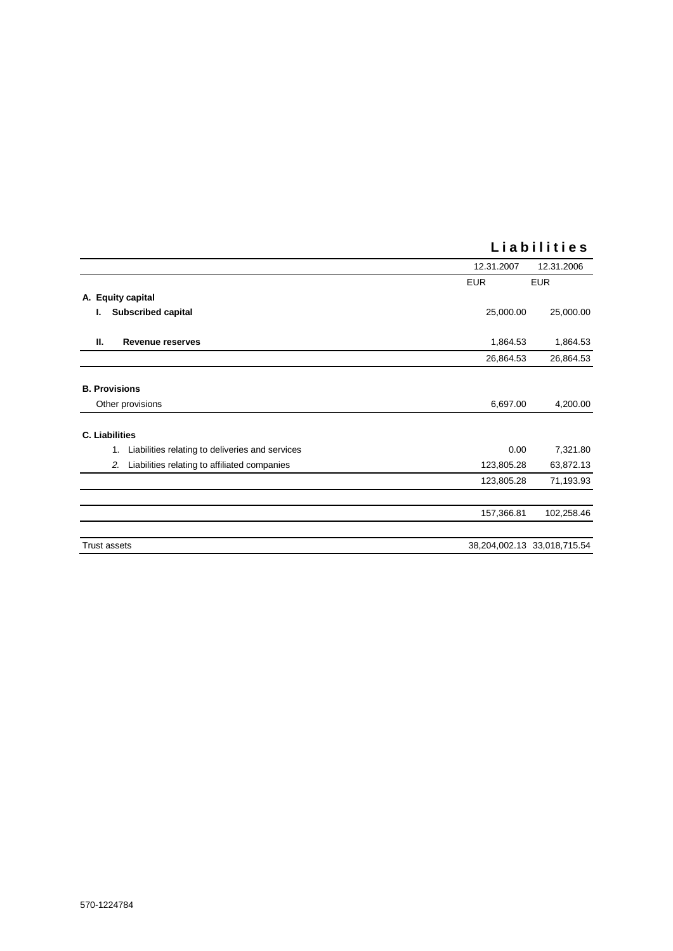|                                                       | 12.31.2007 | 12.31.2006                  |
|-------------------------------------------------------|------------|-----------------------------|
|                                                       | <b>EUR</b> | <b>EUR</b>                  |
| A. Equity capital                                     |            |                             |
| <b>Subscribed capital</b><br>ı.                       | 25,000.00  | 25,000.00                   |
| Ш.<br>Revenue reserves                                | 1,864.53   | 1,864.53                    |
|                                                       | 26,864.53  | 26,864.53                   |
| <b>B. Provisions</b>                                  |            |                             |
| Other provisions                                      | 6,697.00   | 4,200.00                    |
| <b>C. Liabilities</b>                                 |            |                             |
| Liabilities relating to deliveries and services<br>1. | 0.00       | 7,321.80                    |
| Liabilities relating to affiliated companies<br>2.    | 123,805.28 | 63,872.13                   |
|                                                       | 123,805.28 | 71,193.93                   |
|                                                       |            |                             |
|                                                       | 157,366.81 | 102,258.46                  |
| <b>Trust assets</b>                                   |            | 38,204,002.13 33,018,715.54 |

### **L i a b i l i t i e s**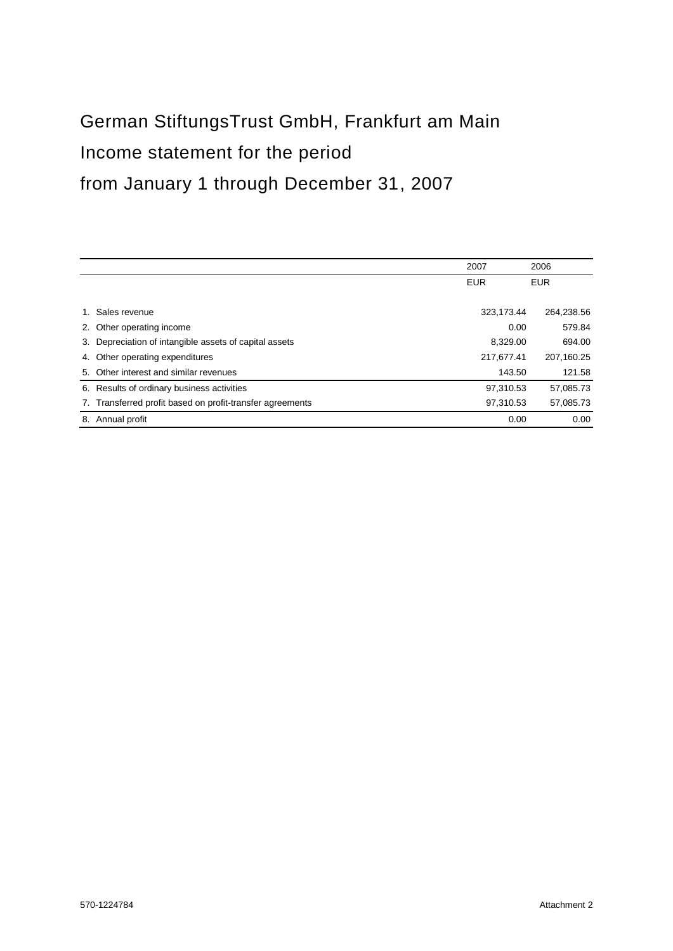# German StiftungsTrust GmbH, Frankfurt am Main Income statement for the period from January 1 through December 31, 2007

|    |                                                        | 2007       | 2006       |
|----|--------------------------------------------------------|------------|------------|
|    |                                                        | <b>EUR</b> | <b>EUR</b> |
|    |                                                        |            |            |
|    | Sales revenue                                          | 323,173.44 | 264,238.56 |
|    | 2. Other operating income                              | 0.00       | 579.84     |
| 3. | Depreciation of intangible assets of capital assets    | 8.329.00   | 694.00     |
|    | 4. Other operating expenditures                        | 217,677.41 | 207,160.25 |
| 5. | Other interest and similar revenues                    | 143.50     | 121.58     |
|    | 6. Results of ordinary business activities             | 97.310.53  | 57,085.73  |
| 7. | Transferred profit based on profit-transfer agreements | 97,310.53  | 57,085.73  |
| 8. | Annual profit                                          | 0.00       | 0.00       |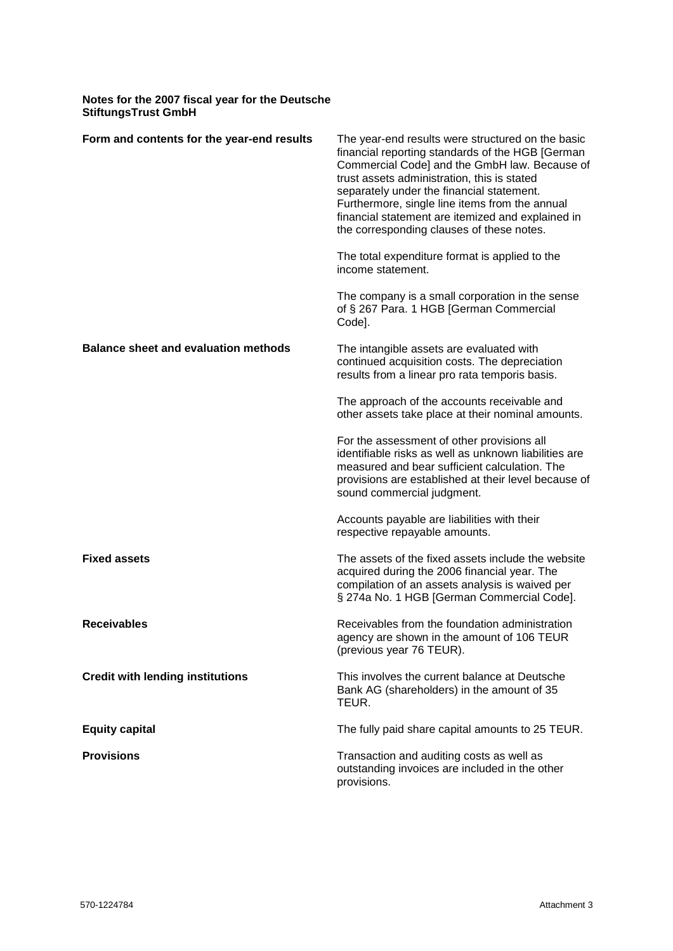| Notes for the 2007 fiscal year for the Deutsche<br><b>StiftungsTrust GmbH</b> |                                                                                                                                                                                                                                                                                                                                                                                                         |  |  |
|-------------------------------------------------------------------------------|---------------------------------------------------------------------------------------------------------------------------------------------------------------------------------------------------------------------------------------------------------------------------------------------------------------------------------------------------------------------------------------------------------|--|--|
| Form and contents for the year-end results                                    | The year-end results were structured on the basic<br>financial reporting standards of the HGB [German]<br>Commercial Code] and the GmbH law. Because of<br>trust assets administration, this is stated<br>separately under the financial statement.<br>Furthermore, single line items from the annual<br>financial statement are itemized and explained in<br>the corresponding clauses of these notes. |  |  |
|                                                                               | The total expenditure format is applied to the<br>income statement.                                                                                                                                                                                                                                                                                                                                     |  |  |
|                                                                               | The company is a small corporation in the sense<br>of § 267 Para. 1 HGB [German Commercial<br>Code].                                                                                                                                                                                                                                                                                                    |  |  |
| <b>Balance sheet and evaluation methods</b>                                   | The intangible assets are evaluated with<br>continued acquisition costs. The depreciation<br>results from a linear pro rata temporis basis.                                                                                                                                                                                                                                                             |  |  |
|                                                                               | The approach of the accounts receivable and<br>other assets take place at their nominal amounts.                                                                                                                                                                                                                                                                                                        |  |  |
|                                                                               | For the assessment of other provisions all<br>identifiable risks as well as unknown liabilities are<br>measured and bear sufficient calculation. The<br>provisions are established at their level because of<br>sound commercial judgment.                                                                                                                                                              |  |  |
|                                                                               | Accounts payable are liabilities with their<br>respective repayable amounts.                                                                                                                                                                                                                                                                                                                            |  |  |
| <b>Fixed assets</b>                                                           | The assets of the fixed assets include the website<br>acquired during the 2006 financial year. The<br>compilation of an assets analysis is waived per<br>§ 274a No. 1 HGB [German Commercial Code].                                                                                                                                                                                                     |  |  |
| <b>Receivables</b>                                                            | Receivables from the foundation administration<br>agency are shown in the amount of 106 TEUR<br>(previous year 76 TEUR).                                                                                                                                                                                                                                                                                |  |  |
| <b>Credit with lending institutions</b>                                       | This involves the current balance at Deutsche<br>Bank AG (shareholders) in the amount of 35<br>TEUR.                                                                                                                                                                                                                                                                                                    |  |  |
| <b>Equity capital</b>                                                         | The fully paid share capital amounts to 25 TEUR.                                                                                                                                                                                                                                                                                                                                                        |  |  |
| <b>Provisions</b>                                                             | Transaction and auditing costs as well as<br>outstanding invoices are included in the other<br>provisions.                                                                                                                                                                                                                                                                                              |  |  |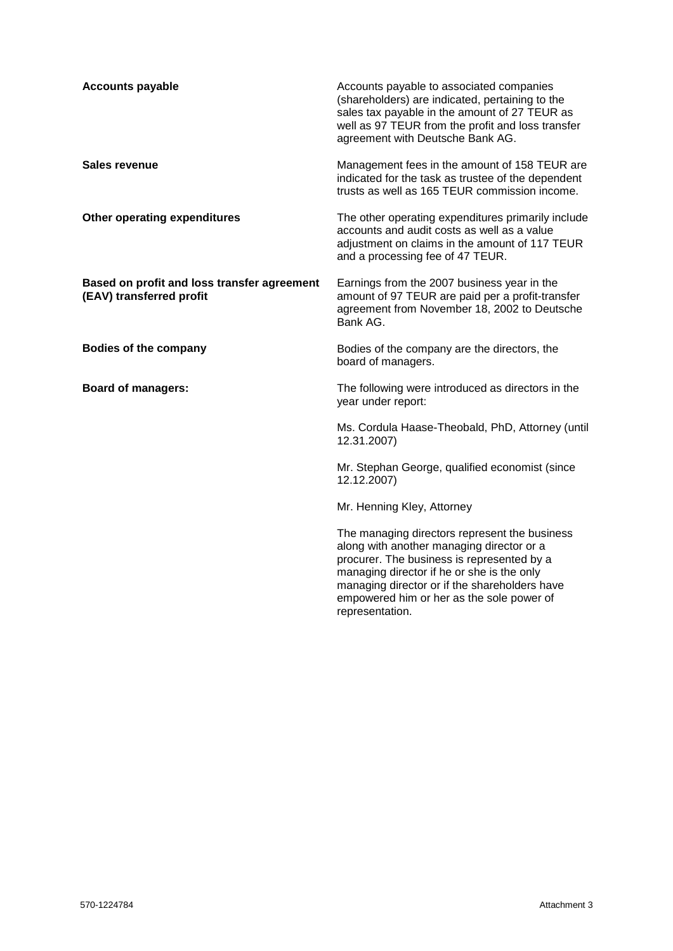| <b>Accounts payable</b>                                                 | Accounts payable to associated companies<br>(shareholders) are indicated, pertaining to the<br>sales tax payable in the amount of 27 TEUR as<br>well as 97 TEUR from the profit and loss transfer<br>agreement with Deutsche Bank AG.                                                                   |
|-------------------------------------------------------------------------|---------------------------------------------------------------------------------------------------------------------------------------------------------------------------------------------------------------------------------------------------------------------------------------------------------|
| Sales revenue                                                           | Management fees in the amount of 158 TEUR are<br>indicated for the task as trustee of the dependent<br>trusts as well as 165 TEUR commission income.                                                                                                                                                    |
| Other operating expenditures                                            | The other operating expenditures primarily include<br>accounts and audit costs as well as a value<br>adjustment on claims in the amount of 117 TEUR<br>and a processing fee of 47 TEUR.                                                                                                                 |
| Based on profit and loss transfer agreement<br>(EAV) transferred profit | Earnings from the 2007 business year in the<br>amount of 97 TEUR are paid per a profit-transfer<br>agreement from November 18, 2002 to Deutsche<br>Bank AG.                                                                                                                                             |
| <b>Bodies of the company</b>                                            | Bodies of the company are the directors, the<br>board of managers.                                                                                                                                                                                                                                      |
| <b>Board of managers:</b>                                               | The following were introduced as directors in the<br>year under report:                                                                                                                                                                                                                                 |
|                                                                         | Ms. Cordula Haase-Theobald, PhD, Attorney (until<br>12.31.2007)                                                                                                                                                                                                                                         |
|                                                                         | Mr. Stephan George, qualified economist (since<br>12.12.2007)                                                                                                                                                                                                                                           |
|                                                                         | Mr. Henning Kley, Attorney                                                                                                                                                                                                                                                                              |
|                                                                         | The managing directors represent the business<br>along with another managing director or a<br>procurer. The business is represented by a<br>managing director if he or she is the only<br>managing director or if the shareholders have<br>empowered him or her as the sole power of<br>representation. |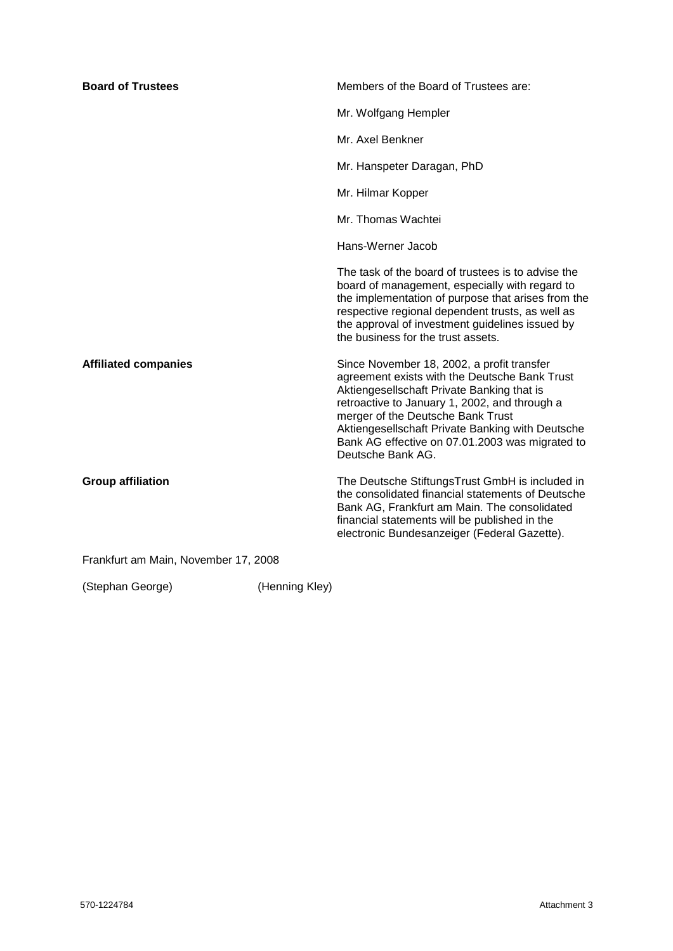| <b>Board of Trustees</b>             |                | Members of the Board of Trustees are:                                                                                                                                                                                                                                                                                                                       |
|--------------------------------------|----------------|-------------------------------------------------------------------------------------------------------------------------------------------------------------------------------------------------------------------------------------------------------------------------------------------------------------------------------------------------------------|
|                                      |                | Mr. Wolfgang Hempler                                                                                                                                                                                                                                                                                                                                        |
|                                      |                | Mr. Axel Benkner                                                                                                                                                                                                                                                                                                                                            |
|                                      |                | Mr. Hanspeter Daragan, PhD                                                                                                                                                                                                                                                                                                                                  |
|                                      |                | Mr. Hilmar Kopper                                                                                                                                                                                                                                                                                                                                           |
|                                      |                | Mr. Thomas Wachtei                                                                                                                                                                                                                                                                                                                                          |
|                                      |                | Hans-Werner Jacob                                                                                                                                                                                                                                                                                                                                           |
|                                      |                | The task of the board of trustees is to advise the<br>board of management, especially with regard to<br>the implementation of purpose that arises from the<br>respective regional dependent trusts, as well as<br>the approval of investment guidelines issued by<br>the business for the trust assets.                                                     |
| <b>Affiliated companies</b>          |                | Since November 18, 2002, a profit transfer<br>agreement exists with the Deutsche Bank Trust<br>Aktiengesellschaft Private Banking that is<br>retroactive to January 1, 2002, and through a<br>merger of the Deutsche Bank Trust<br>Aktiengesellschaft Private Banking with Deutsche<br>Bank AG effective on 07.01.2003 was migrated to<br>Deutsche Bank AG. |
| <b>Group affiliation</b>             |                | The Deutsche StiftungsTrust GmbH is included in<br>the consolidated financial statements of Deutsche<br>Bank AG, Frankfurt am Main. The consolidated<br>financial statements will be published in the<br>electronic Bundesanzeiger (Federal Gazette).                                                                                                       |
| Frankfurt am Main, November 17, 2008 |                |                                                                                                                                                                                                                                                                                                                                                             |
| (Stephan George)                     | (Henning Kley) |                                                                                                                                                                                                                                                                                                                                                             |